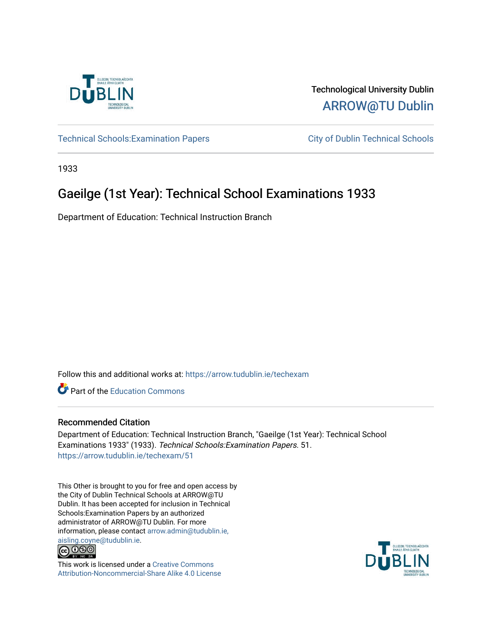

Technological University Dublin [ARROW@TU Dublin](https://arrow.tudublin.ie/) 

Technical Schools: Examination Papers City of Dublin Technical Schools

1933

## Gaeilge (1st Year): Technical School Examinations 1933

Department of Education: Technical Instruction Branch

Follow this and additional works at: [https://arrow.tudublin.ie/techexam](https://arrow.tudublin.ie/techexam?utm_source=arrow.tudublin.ie%2Ftechexam%2F51&utm_medium=PDF&utm_campaign=PDFCoverPages) 

Part of the [Education Commons](http://network.bepress.com/hgg/discipline/784?utm_source=arrow.tudublin.ie%2Ftechexam%2F51&utm_medium=PDF&utm_campaign=PDFCoverPages)

## Recommended Citation

Department of Education: Technical Instruction Branch, "Gaeilge (1st Year): Technical School Examinations 1933" (1933). Technical Schools:Examination Papers. 51. [https://arrow.tudublin.ie/techexam/51](https://arrow.tudublin.ie/techexam/51?utm_source=arrow.tudublin.ie%2Ftechexam%2F51&utm_medium=PDF&utm_campaign=PDFCoverPages)

This Other is brought to you for free and open access by the City of Dublin Technical Schools at ARROW@TU Dublin. It has been accepted for inclusion in Technical Schools:Examination Papers by an authorized administrator of ARROW@TU Dublin. For more information, please contact [arrow.admin@tudublin.ie,](mailto:arrow.admin@tudublin.ie,%20aisling.coyne@tudublin.ie)  [aisling.coyne@tudublin.ie.](mailto:arrow.admin@tudublin.ie,%20aisling.coyne@tudublin.ie)<br>© 090



This work is licensed under a [Creative Commons](http://creativecommons.org/licenses/by-nc-sa/4.0/) [Attribution-Noncommercial-Share Alike 4.0 License](http://creativecommons.org/licenses/by-nc-sa/4.0/)